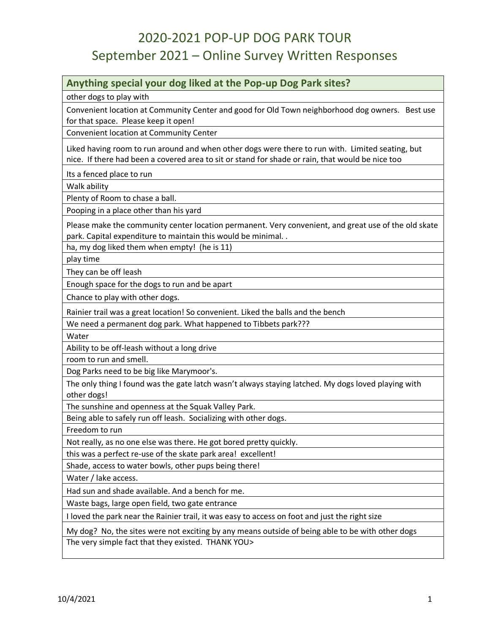#### **Anything special your dog liked at the Pop-up Dog Park sites?**

other dogs to play with

Convenient location at Community Center and good for Old Town neighborhood dog owners. Best use for that space. Please keep it open!

Convenient location at Community Center

Liked having room to run around and when other dogs were there to run with. Limited seating, but nice. If there had been a covered area to sit or stand for shade or rain, that would be nice too

Its a fenced place to run

Walk ability

Plenty of Room to chase a ball.

Pooping in a place other than his yard

Please make the community center location permanent. Very convenient, and great use of the old skate park. Capital expenditure to maintain this would be minimal. .

ha, my dog liked them when empty! (he is 11)

play time

They can be off leash

Enough space for the dogs to run and be apart

Chance to play with other dogs.

Rainier trail was a great location! So convenient. Liked the balls and the bench

We need a permanent dog park. What happened to Tibbets park???

**Water** 

Ability to be off-leash without a long drive

room to run and smell.

Dog Parks need to be big like Marymoor's.

The only thing I found was the gate latch wasn't always staying latched. My dogs loved playing with other dogs!

The sunshine and openness at the Squak Valley Park.

Being able to safely run off leash. Socializing with other dogs.

Freedom to run

Not really, as no one else was there. He got bored pretty quickly.

this was a perfect re-use of the skate park area! excellent!

Shade, access to water bowls, other pups being there!

Water / lake access.

Had sun and shade available. And a bench for me.

Waste bags, large open field, two gate entrance

I loved the park near the Rainier trail, it was easy to access on foot and just the right size

My dog? No, the sites were not exciting by any means outside of being able to be with other dogs The very simple fact that they existed. THANK YOU>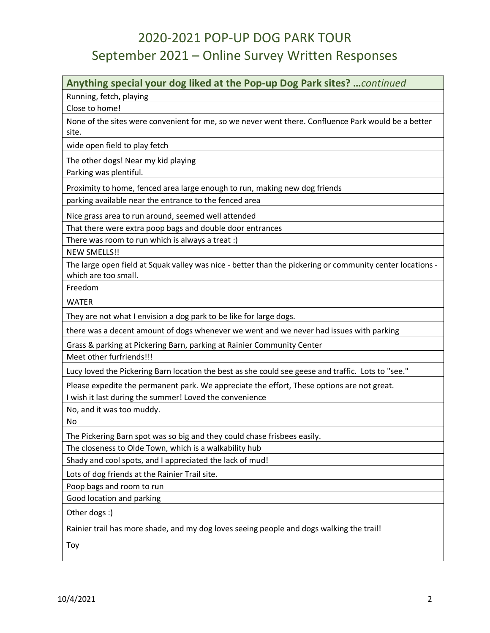#### **Anything special your dog liked at the Pop-up Dog Park sites? …***continued*

Running, fetch, playing

Close to home!

None of the sites were convenient for me, so we never went there. Confluence Park would be a better site.

wide open field to play fetch

The other dogs! Near my kid playing

Parking was plentiful.

Proximity to home, fenced area large enough to run, making new dog friends

parking available near the entrance to the fenced area

Nice grass area to run around, seemed well attended

That there were extra poop bags and double door entrances

There was room to run which is always a treat :)

NEW SMELLS!!

The large open field at Squak valley was nice - better than the pickering or community center locations which are too small.

Freedom

WATER

They are not what I envision a dog park to be like for large dogs.

there was a decent amount of dogs whenever we went and we never had issues with parking

Grass & parking at Pickering Barn, parking at Rainier Community Center

Meet other furfriends!!!

Lucy loved the Pickering Barn location the best as she could see geese and traffic. Lots to "see."

Please expedite the permanent park. We appreciate the effort, These options are not great.

I wish it last during the summer! Loved the convenience

No, and it was too muddy.

No

The Pickering Barn spot was so big and they could chase frisbees easily.

The closeness to Olde Town, which is a walkability hub

Shady and cool spots, and I appreciated the lack of mud!

Lots of dog friends at the Rainier Trail site.

Poop bags and room to run

Good location and parking

Other dogs :)

Rainier trail has more shade, and my dog loves seeing people and dogs walking the trail!

Toy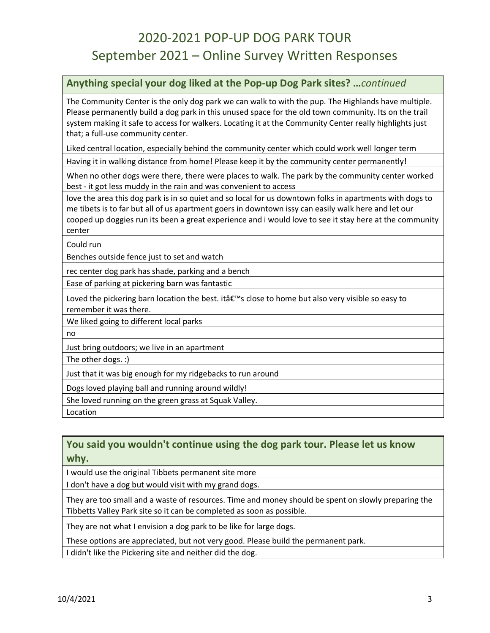#### **Anything special your dog liked at the Pop-up Dog Park sites? …***continued*

The Community Center is the only dog park we can walk to with the pup. The Highlands have multiple. Please permanently build a dog park in this unused space for the old town community. Its on the trail system making it safe to access for walkers. Locating it at the Community Center really highlights just that; a full-use community center.

Liked central location, especially behind the community center which could work well longer term

Having it in walking distance from home! Please keep it by the community center permanently!

When no other dogs were there, there were places to walk. The park by the community center worked best - it got less muddy in the rain and was convenient to access

love the area this dog park is in so quiet and so local for us downtown folks in apartments with dogs to me tibets is to far but all of us apartment goers in downtown issy can easily walk here and let our cooped up doggies run its been a great experience and i would love to see it stay here at the community center

Could run

Benches outside fence just to set and watch

rec center dog park has shade, parking and a bench

Ease of parking at pickering barn was fantastic

Loved the pickering barn location the best. it's close to home but also very visible so easy to remember it was there.

We liked going to different local parks

no

Just bring outdoors; we live in an apartment

The other dogs. :)

Just that it was big enough for my ridgebacks to run around

Dogs loved playing ball and running around wildly!

She loved running on the green grass at Squak Valley.

Location

#### **You said you wouldn't continue using the dog park tour. Please let us know why.**

I would use the original Tibbets permanent site more

I don't have a dog but would visit with my grand dogs.

They are too small and a waste of resources. Time and money should be spent on slowly preparing the Tibbetts Valley Park site so it can be completed as soon as possible.

They are not what I envision a dog park to be like for large dogs.

These options are appreciated, but not very good. Please build the permanent park.

I didn't like the Pickering site and neither did the dog.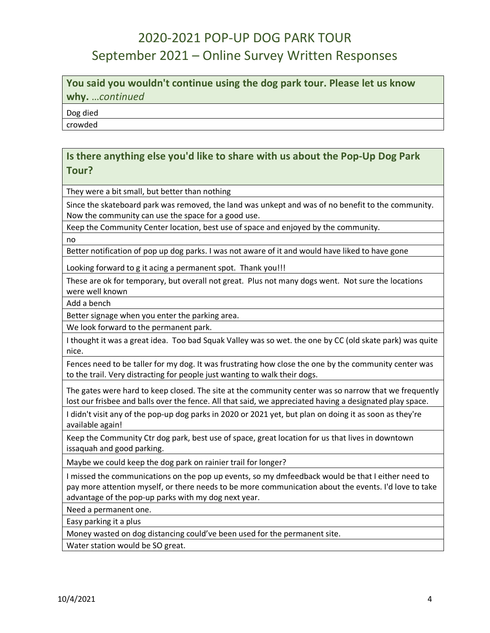**You said you wouldn't continue using the dog park tour. Please let us know why.** …*continued*

Dog died

crowded

#### **Is there anything else you'd like to share with us about the Pop-Up Dog Park Tour?**

They were a bit small, but better than nothing

Since the skateboard park was removed, the land was unkept and was of no benefit to the community. Now the community can use the space for a good use.

Keep the Community Center location, best use of space and enjoyed by the community.

no

Better notification of pop up dog parks. I was not aware of it and would have liked to have gone

Looking forward to g it acing a permanent spot. Thank you!!!

These are ok for temporary, but overall not great. Plus not many dogs went. Not sure the locations were well known

Add a bench

Better signage when you enter the parking area.

We look forward to the permanent park.

I thought it was a great idea. Too bad Squak Valley was so wet. the one by CC (old skate park) was quite nice.

Fences need to be taller for my dog. It was frustrating how close the one by the community center was to the trail. Very distracting for people just wanting to walk their dogs.

The gates were hard to keep closed. The site at the community center was so narrow that we frequently lost our frisbee and balls over the fence. All that said, we appreciated having a designated play space.

I didn't visit any of the pop-up dog parks in 2020 or 2021 yet, but plan on doing it as soon as they're available again!

Keep the Community Ctr dog park, best use of space, great location for us that lives in downtown issaquah and good parking.

Maybe we could keep the dog park on rainier trail for longer?

I missed the communications on the pop up events, so my dmfeedback would be that I either need to pay more attention myself, or there needs to be more communication about the events. I'd love to take advantage of the pop-up parks with my dog next year.

Need a permanent one.

Easy parking it a plus

Money wasted on dog distancing could've been used for the permanent site.

Water station would be SO great.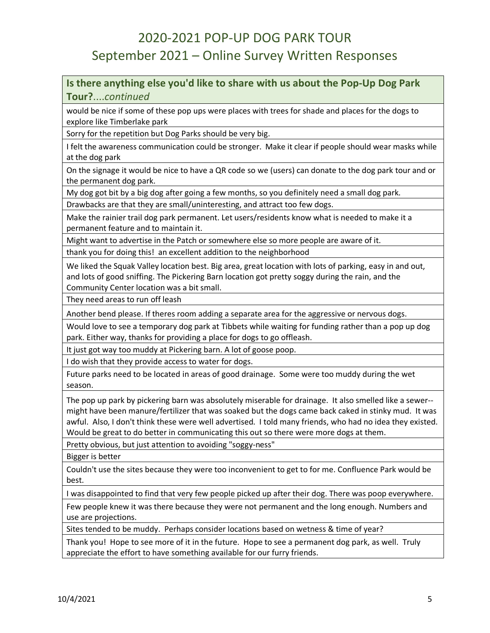**Is there anything else you'd like to share with us about the Pop-Up Dog Park Tour?**....*continued*

would be nice if some of these pop ups were places with trees for shade and places for the dogs to explore like Timberlake park

Sorry for the repetition but Dog Parks should be very big.

I felt the awareness communication could be stronger. Make it clear if people should wear masks while at the dog park

On the signage it would be nice to have a QR code so we (users) can donate to the dog park tour and or the permanent dog park.

My dog got bit by a big dog after going a few months, so you definitely need a small dog park.

Drawbacks are that they are small/uninteresting, and attract too few dogs.

Make the rainier trail dog park permanent. Let users/residents know what is needed to make it a permanent feature and to maintain it.

Might want to advertise in the Patch or somewhere else so more people are aware of it.

thank you for doing this! an excellent addition to the neighborhood

We liked the Squak Valley location best. Big area, great location with lots of parking, easy in and out, and lots of good sniffing. The Pickering Barn location got pretty soggy during the rain, and the Community Center location was a bit small.

They need areas to run off leash

Another bend please. If theres room adding a separate area for the aggressive or nervous dogs.

Would love to see a temporary dog park at Tibbets while waiting for funding rather than a pop up dog park. Either way, thanks for providing a place for dogs to go offleash.

It just got way too muddy at Pickering barn. A lot of goose poop.

I do wish that they provide access to water for dogs.

Future parks need to be located in areas of good drainage. Some were too muddy during the wet season.

The pop up park by pickering barn was absolutely miserable for drainage. It also smelled like a sewer- might have been manure/fertilizer that was soaked but the dogs came back caked in stinky mud. It was awful. Also, I don't think these were well advertised. I told many friends, who had no idea they existed. Would be great to do better in communicating this out so there were more dogs at them.

Pretty obvious, but just attention to avoiding "soggy-ness"

Bigger is better

Couldn't use the sites because they were too inconvenient to get to for me. Confluence Park would be best.

I was disappointed to find that very few people picked up after their dog. There was poop everywhere.

Few people knew it was there because they were not permanent and the long enough. Numbers and use are projections.

Sites tended to be muddy. Perhaps consider locations based on wetness & time of year?

Thank you! Hope to see more of it in the future. Hope to see a permanent dog park, as well. Truly appreciate the effort to have something available for our furry friends.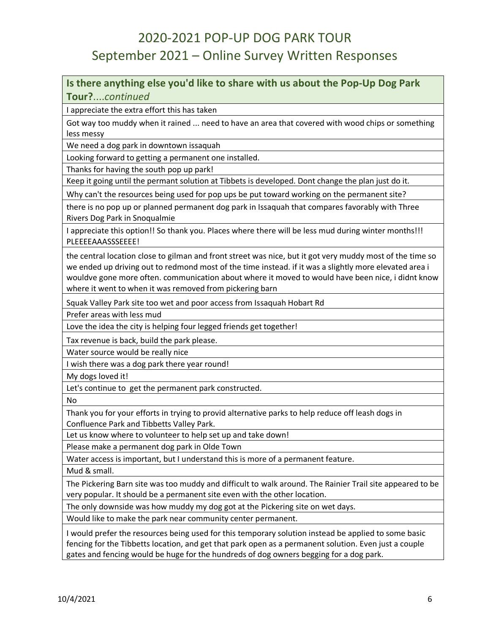#### **Is there anything else you'd like to share with us about the Pop-Up Dog Park Tour?**....*continued*

I appreciate the extra effort this has taken

Got way too muddy when it rained ... need to have an area that covered with wood chips or something less messy

We need a dog park in downtown issaquah

Looking forward to getting a permanent one installed.

Thanks for having the south pop up park!

Keep it going until the permant solution at Tibbets is developed. Dont change the plan just do it.

Why can't the resources being used for pop ups be put toward working on the permanent site?

there is no pop up or planned permanent dog park in Issaquah that compares favorably with Three Rivers Dog Park in Snoqualmie

I appreciate this option!! So thank you. Places where there will be less mud during winter months!!! PLEEEEAAASSSEEEE!

the central location close to gilman and front street was nice, but it got very muddy most of the time so we ended up driving out to redmond most of the time instead. if it was a slightly more elevated area i wouldve gone more often. communication about where it moved to would have been nice, i didnt know where it went to when it was removed from pickering barn

Squak Valley Park site too wet and poor access from Issaquah Hobart Rd

Prefer areas with less mud

Love the idea the city is helping four legged friends get together!

Tax revenue is back, build the park please.

Water source would be really nice

I wish there was a dog park there year round!

My dogs loved it!

Let's continue to get the permanent park constructed.

No

Thank you for your efforts in trying to provid alternative parks to help reduce off leash dogs in Confluence Park and Tibbetts Valley Park.

Let us know where to volunteer to help set up and take down!

Please make a permanent dog park in Olde Town

Water access is important, but I understand this is more of a permanent feature.

Mud & small.

The Pickering Barn site was too muddy and difficult to walk around. The Rainier Trail site appeared to be very popular. It should be a permanent site even with the other location.

The only downside was how muddy my dog got at the Pickering site on wet days.

Would like to make the park near community center permanent.

I would prefer the resources being used for this temporary solution instead be applied to some basic fencing for the Tibbetts location, and get that park open as a permanent solution. Even just a couple gates and fencing would be huge for the hundreds of dog owners begging for a dog park.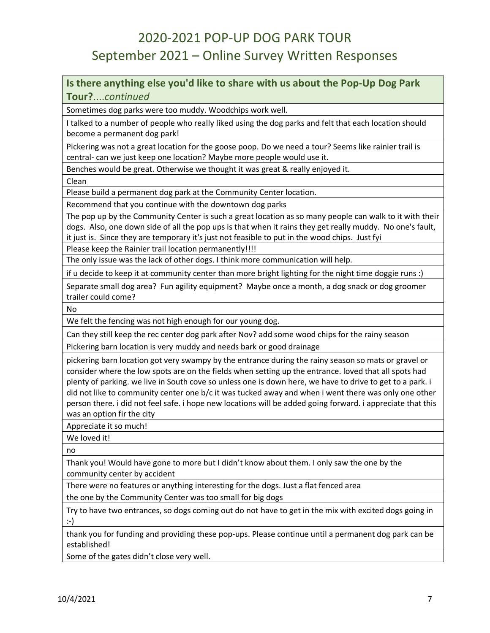**Is there anything else you'd like to share with us about the Pop-Up Dog Park Tour?**....*continued*

Sometimes dog parks were too muddy. Woodchips work well.

I talked to a number of people who really liked using the dog parks and felt that each location should become a permanent dog park!

Pickering was not a great location for the goose poop. Do we need a tour? Seems like rainier trail is central- can we just keep one location? Maybe more people would use it.

Benches would be great. Otherwise we thought it was great & really enjoyed it.

Clean

Please build a permanent dog park at the Community Center location.

Recommend that you continue with the downtown dog parks

The pop up by the Community Center is such a great location as so many people can walk to it with their dogs. Also, one down side of all the pop ups is that when it rains they get really muddy. No one's fault, it just is. Since they are temporary it's just not feasible to put in the wood chips. Just fyi

Please keep the Rainier trail location permanently!!!!

The only issue was the lack of other dogs. I think more communication will help.

if u decide to keep it at community center than more bright lighting for the night time doggie runs :)

Separate small dog area? Fun agility equipment? Maybe once a month, a dog snack or dog groomer trailer could come?

No

We felt the fencing was not high enough for our young dog.

Can they still keep the rec center dog park after Nov? add some wood chips for the rainy season

Pickering barn location is very muddy and needs bark or good drainage

pickering barn location got very swampy by the entrance during the rainy season so mats or gravel or consider where the low spots are on the fields when setting up the entrance. loved that all spots had plenty of parking. we live in South cove so unless one is down here, we have to drive to get to a park. i did not like to community center one b/c it was tucked away and when i went there was only one other person there. i did not feel safe. i hope new locations will be added going forward. i appreciate that this was an option fir the city

Appreciate it so much!

We loved it!

no

Thank you! Would have gone to more but I didn't know about them. I only saw the one by the community center by accident

There were no features or anything interesting for the dogs. Just a flat fenced area

the one by the Community Center was too small for big dogs

Try to have two entrances, so dogs coming out do not have to get in the mix with excited dogs going in :-)

thank you for funding and providing these pop-ups. Please continue until a permanent dog park can be established!

Some of the gates didn't close very well.